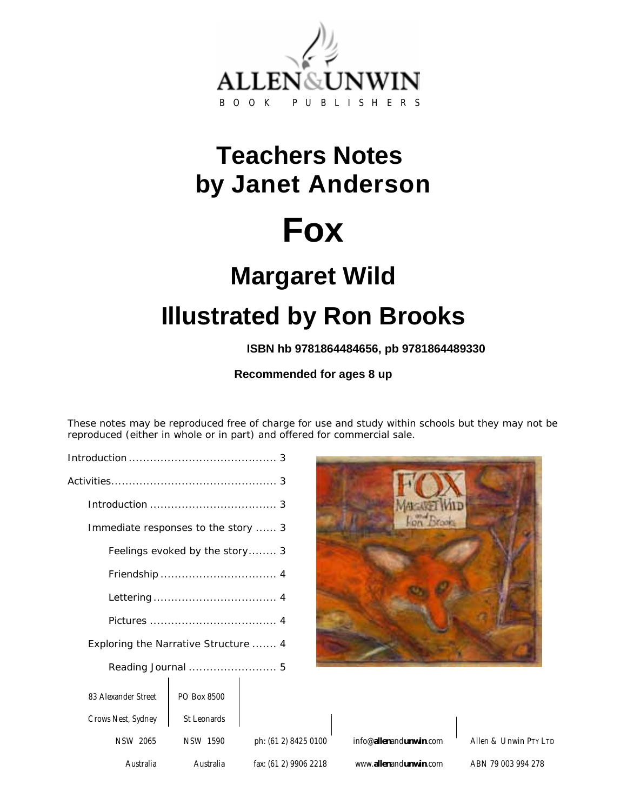

## **Teachers Notes by Janet Anderson**

# **Fox**

## **Margaret Wild Illustrated by Ron Brooks**

**ISBN hb 9781864484656, pb 9781864489330**

**Recommended for ages 8 up** 

These notes may be reproduced free of charge for use and study within schools but they may not be reproduced (either in whole or in part) and offered for commercial sale.

| Immediate responses to the story  3  |             |                                  |
|--------------------------------------|-------------|----------------------------------|
| Feelings evoked by the story 3       |             |                                  |
|                                      |             |                                  |
|                                      |             |                                  |
|                                      |             |                                  |
| Exploring the Narrative Structure  4 |             |                                  |
|                                      |             |                                  |
| 83 Alexander Street                  | PO Box 8500 |                                  |
| Crows Nest, Sydney                   | St Leonards |                                  |
| <b>NSW 2065</b>                      | NSW 1590    | ph: (61 2) 8425                  |
| $\mathbf{A}$ and $\mathbf{B}$        |             | $A = 1$ , $C = (0.1, 0)$ , 00.00 |



|                       |                                          |                       | <b>SU LEOTIGIUS</b> | Crows ivest, Sydliey |
|-----------------------|------------------------------------------|-----------------------|---------------------|----------------------|
| Allen & Unwin PTY LTD | info@ <b>allen</b> and <b>unwin</b> .com | ph: (61 2) 8425 0100  | NSW 1590            | <b>NSW 2065</b>      |
| ABN 79 003 994 278    | www.allenandunwin.com                    | fax: (61 2) 9906 2218 | Australia           | Australia            |

 $\mathbf{I}$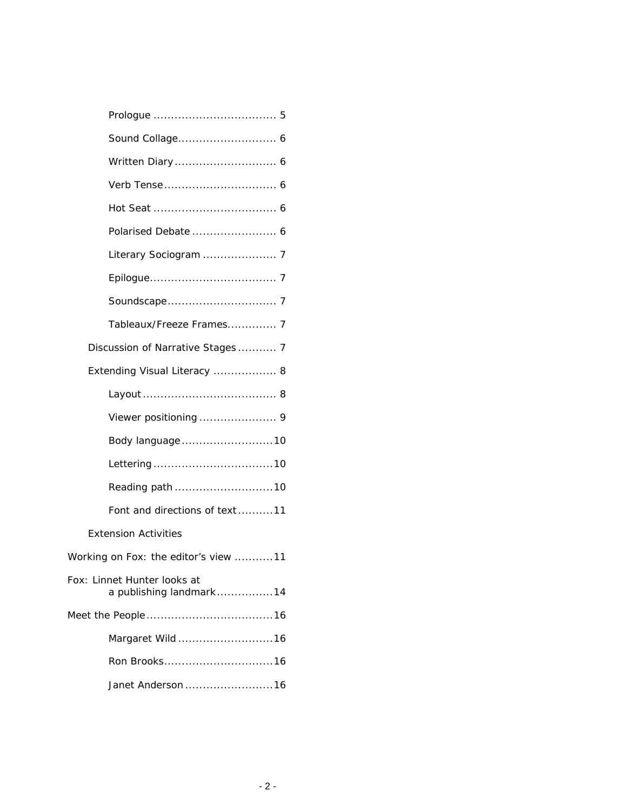| Polarised Debate  6                                    |
|--------------------------------------------------------|
|                                                        |
|                                                        |
|                                                        |
| Tableaux/Freeze Frames 7                               |
| Discussion of Narrative Stages 7                       |
| Extending Visual Literacy  8                           |
|                                                        |
|                                                        |
| Body language10                                        |
|                                                        |
|                                                        |
| Font and directions of text11                          |
| <b>Extension Activities</b>                            |
| Working on <i>Fox</i> : the editor's view 11           |
| Fox: Linnet Hunter looks at<br>a publishing landmark14 |
|                                                        |
| Margaret Wild 16                                       |
|                                                        |
| Janet Anderson 16                                      |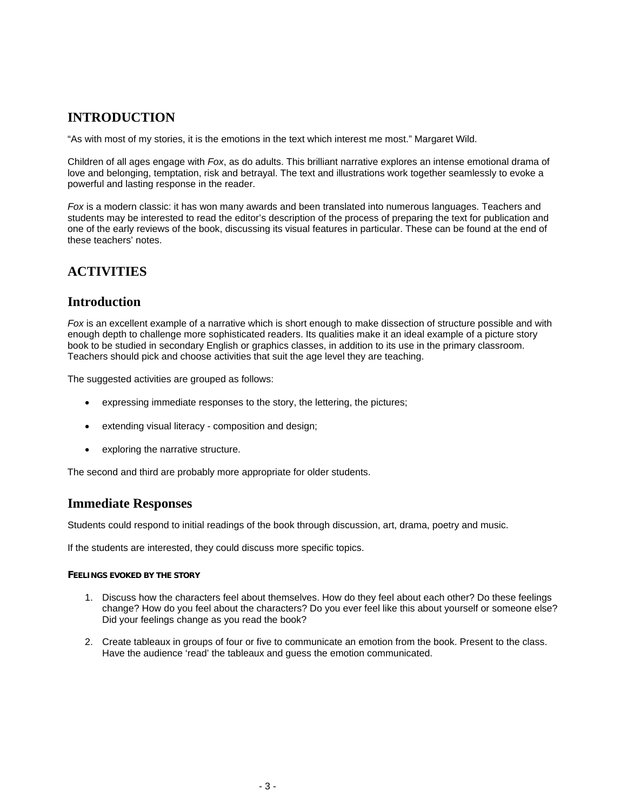## **INTRODUCTION**

"As with most of my stories, it is the emotions in the text which interest me most." Margaret Wild.

Children of all ages engage with *Fox*, as do adults. This brilliant narrative explores an intense emotional drama of love and belonging, temptation, risk and betrayal. The text and illustrations work together seamlessly to evoke a powerful and lasting response in the reader.

*Fox* is a modern classic: it has won many awards and been translated into numerous languages. Teachers and students may be interested to read the editor's description of the process of preparing the text for publication and one of the early reviews of the book, discussing its visual features in particular. These can be found at the end of these teachers' notes.

## **ACTIVITIES**

## **Introduction**

*Fox* is an excellent example of a narrative which is short enough to make dissection of structure possible and with enough depth to challenge more sophisticated readers. Its qualities make it an ideal example of a picture story book to be studied in secondary English or graphics classes, in addition to its use in the primary classroom. Teachers should pick and choose activities that suit the age level they are teaching.

The suggested activities are grouped as follows:

- expressing immediate responses to the story, the lettering, the pictures;
- extending visual literacy composition and design;
- exploring the narrative structure.

The second and third are probably more appropriate for older students.

### **Immediate Responses**

Students could respond to initial readings of the book through discussion, art, drama, poetry and music.

If the students are interested, they could discuss more specific topics.

#### **FEELINGS EVOKED BY THE STORY**

- 1. Discuss how the characters feel about themselves. How do they feel about each other? Do these feelings change? How do you feel about the characters? Do you ever feel like this about yourself or someone else? Did your feelings change as you read the book?
- 2. Create tableaux in groups of four or five to communicate an emotion from the book. Present to the class. Have the audience 'read' the tableaux and guess the emotion communicated.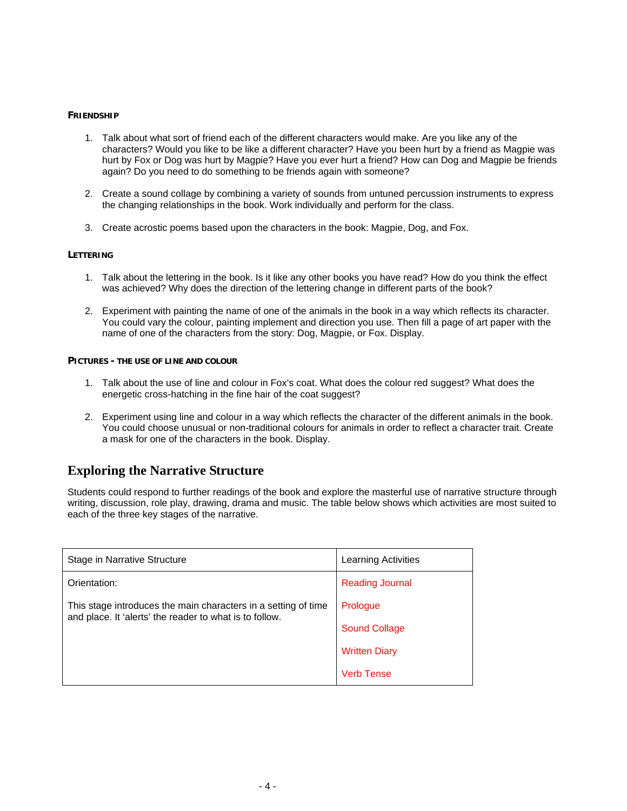#### **FRIENDSHIP**

- 1. Talk about what sort of friend each of the different characters would make. Are you like any of the characters? Would you like to be like a different character? Have you been hurt by a friend as Magpie was hurt by Fox or Dog was hurt by Magpie? Have you ever hurt a friend? How can Dog and Magpie be friends again? Do you need to do something to be friends again with someone?
- 2. Create a sound collage by combining a variety of sounds from untuned percussion instruments to express the changing relationships in the book. Work individually and perform for the class.
- 3. Create acrostic poems based upon the characters in the book: Magpie, Dog, and Fox.

#### **LETTERING**

- 1. Talk about the lettering in the book. Is it like any other books you have read? How do you think the effect was achieved? Why does the direction of the lettering change in different parts of the book?
- 2. Experiment with painting the name of one of the animals in the book in a way which reflects its character. You could vary the colour, painting implement and direction you use. Then fill a page of art paper with the name of one of the characters from the story: Dog, Magpie, or Fox. Display.

#### **PICTURES - THE USE OF LINE AND COLOUR**

- 1. Talk about the use of line and colour in Fox's coat. What does the colour red suggest? What does the energetic cross-hatching in the fine hair of the coat suggest?
- 2. Experiment using line and colour in a way which reflects the character of the different animals in the book. You could choose unusual or non-traditional colours for animals in order to reflect a character trait. Create a mask for one of the characters in the book. Display.

## **Exploring the Narrative Structure**

Students could respond to further readings of the book and explore the masterful use of narrative structure through writing, discussion, role play, drawing, drama and music. The table below shows which activities are most suited to each of the three key stages of the narrative.

| Stage in Narrative Structure                                                                                              | Learning Activities    |
|---------------------------------------------------------------------------------------------------------------------------|------------------------|
| Orientation:                                                                                                              | <b>Reading Journal</b> |
| This stage introduces the main characters in a setting of time<br>and place. It 'alerts' the reader to what is to follow. | Prologue               |
|                                                                                                                           | <b>Sound Collage</b>   |
|                                                                                                                           | <b>Written Diary</b>   |
|                                                                                                                           | <b>Verb Tense</b>      |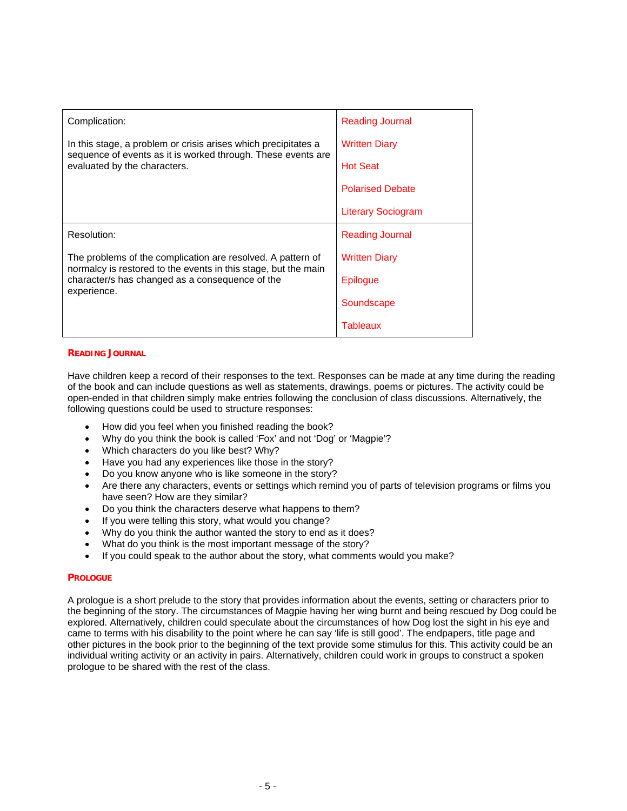| Complication:                                                                                                                                                  | <b>Reading Journal</b>    |
|----------------------------------------------------------------------------------------------------------------------------------------------------------------|---------------------------|
| In this stage, a problem or crisis arises which precipitates a<br>sequence of events as it is worked through. These events are<br>evaluated by the characters. | <b>Written Diary</b>      |
|                                                                                                                                                                | <b>Hot Seat</b>           |
|                                                                                                                                                                | <b>Polarised Debate</b>   |
|                                                                                                                                                                | <b>Literary Sociogram</b> |
| Resolution:                                                                                                                                                    | <b>Reading Journal</b>    |
| The problems of the complication are resolved. A pattern of                                                                                                    | <b>Written Diary</b>      |
| normalcy is restored to the events in this stage, but the main<br>character/s has changed as a consequence of the<br>experience.                               | Epilogue                  |
|                                                                                                                                                                | Soundscape                |
|                                                                                                                                                                | Tableaux                  |

#### **READING JOURNAL**

Have children keep a record of their responses to the text. Responses can be made at any time during the reading of the book and can include questions as well as statements, drawings, poems or pictures. The activity could be open-ended in that children simply make entries following the conclusion of class discussions. Alternatively, the following questions could be used to structure responses:

- How did you feel when you finished reading the book?
- Why do you think the book is called 'Fox' and not 'Dog' or 'Magpie'?
- Which characters do you like best? Why?
- Have you had any experiences like those in the story?
- Do you know anyone who is like someone in the story?
- Are there any characters, events or settings which remind you of parts of television programs or films you have seen? How are they similar?
- Do you think the characters deserve what happens to them?
- If you were telling this story, what would you change?
- Why do you think the author wanted the story to end as it does?
- What do you think is the most important message of the story?
- If you could speak to the author about the story, what comments would you make?

#### **PROLOGUE**

A prologue is a short prelude to the story that provides information about the events, setting or characters prior to the beginning of the story. The circumstances of Magpie having her wing burnt and being rescued by Dog could be explored. Alternatively, children could speculate about the circumstances of how Dog lost the sight in his eye and came to terms with his disability to the point where he can say 'life is still good'. The endpapers, title page and other pictures in the book prior to the beginning of the text provide some stimulus for this. This activity could be an individual writing activity or an activity in pairs. Alternatively, children could work in groups to construct a spoken prologue to be shared with the rest of the class.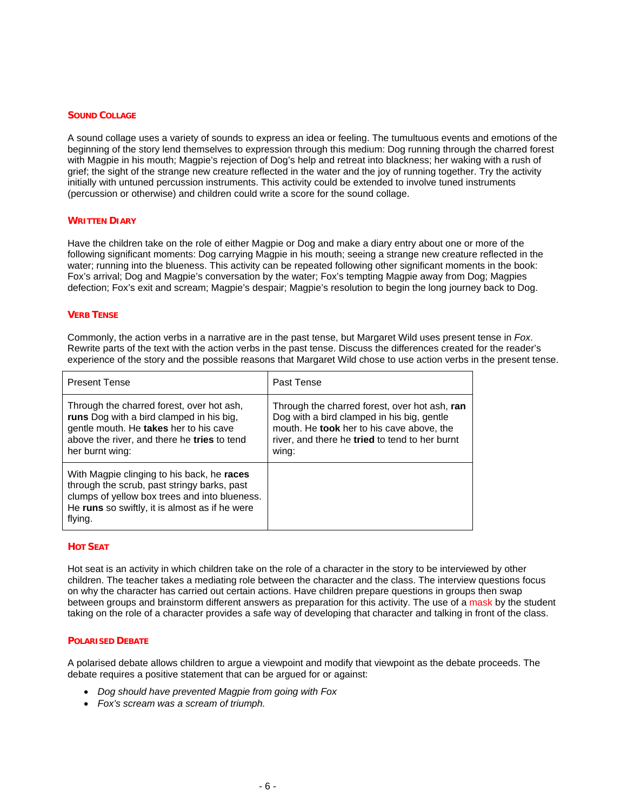#### **SOUND COLLAGE**

A sound collage uses a variety of sounds to express an idea or feeling. The tumultuous events and emotions of the beginning of the story lend themselves to expression through this medium: Dog running through the charred forest with Magpie in his mouth; Magpie's rejection of Dog's help and retreat into blackness; her waking with a rush of grief; the sight of the strange new creature reflected in the water and the joy of running together. Try the activity initially with untuned percussion instruments. This activity could be extended to involve tuned instruments (percussion or otherwise) and children could write a score for the sound collage.

#### **WRITTEN DIARY**

Have the children take on the role of either Magpie or Dog and make a diary entry about one or more of the following significant moments: Dog carrying Magpie in his mouth; seeing a strange new creature reflected in the water; running into the blueness. This activity can be repeated following other significant moments in the book: Fox's arrival; Dog and Magpie's conversation by the water; Fox's tempting Magpie away from Dog; Magpies defection; Fox's exit and scream; Magpie's despair; Magpie's resolution to begin the long journey back to Dog.

#### **VERB TENSE**

Commonly, the action verbs in a narrative are in the past tense, but Margaret Wild uses present tense in *Fox*. Rewrite parts of the text with the action verbs in the past tense. Discuss the differences created for the reader's experience of the story and the possible reasons that Margaret Wild chose to use action verbs in the present tense.

| <b>Present Tense</b>                                                                                                                                                                                    | Past Tense                                                                                                                                                                                          |
|---------------------------------------------------------------------------------------------------------------------------------------------------------------------------------------------------------|-----------------------------------------------------------------------------------------------------------------------------------------------------------------------------------------------------|
| Through the charred forest, over hot ash,<br>runs Dog with a bird clamped in his big,<br>gentle mouth. He takes her to his cave<br>above the river, and there he tries to tend<br>her burnt wing:       | Through the charred forest, over hot ash, ran<br>Dog with a bird clamped in his big, gentle<br>mouth. He took her to his cave above, the<br>river, and there he tried to tend to her burnt<br>wing: |
| With Magpie clinging to his back, he races<br>through the scrub, past stringy barks, past<br>clumps of yellow box trees and into blueness.<br>He runs so swiftly, it is almost as if he were<br>flying. |                                                                                                                                                                                                     |

#### **HOT SEAT**

Hot seat is an activity in which children take on the role of a character in the story to be interviewed by other children. The teacher takes a mediating role between the character and the class. The interview questions focus on why the character has carried out certain actions. Have children prepare questions in groups then swap between groups and brainstorm different answers as preparation for this activity. The use of a mask by the student taking on the role of a character provides a safe way of developing that character and talking in front of the class.

#### **POLARISED DEBATE**

A polarised debate allows children to argue a viewpoint and modify that viewpoint as the debate proceeds. The debate requires a positive statement that can be argued for or against:

- *Dog should have prevented Magpie from going with Fox*
- *Fox's scream was a scream of triumph.*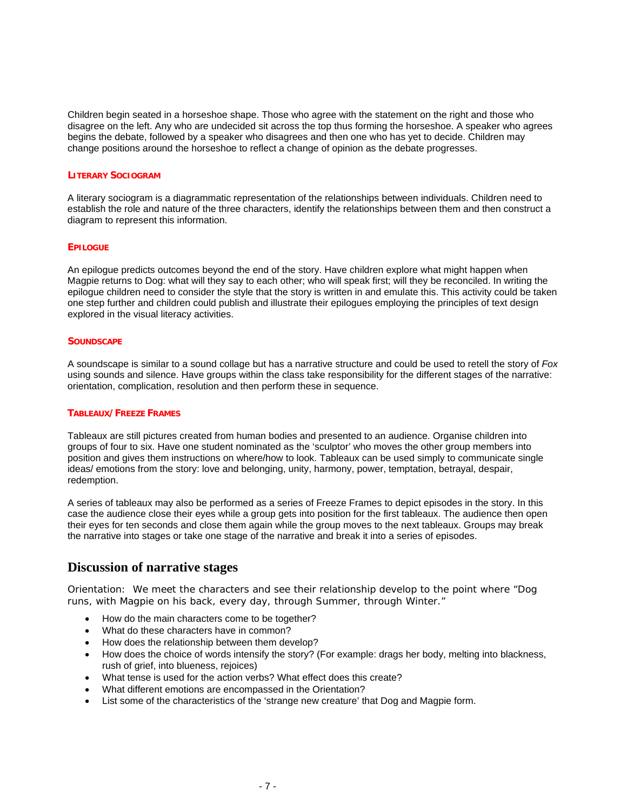Children begin seated in a horseshoe shape. Those who agree with the statement on the right and those who disagree on the left. Any who are undecided sit across the top thus forming the horseshoe. A speaker who agrees begins the debate, followed by a speaker who disagrees and then one who has yet to decide. Children may change positions around the horseshoe to reflect a change of opinion as the debate progresses.

#### **LITERARY SOCIOGRAM**

A literary sociogram is a diagrammatic representation of the relationships between individuals. Children need to establish the role and nature of the three characters, identify the relationships between them and then construct a diagram to represent this information.

#### **EPILOGUE**

An epilogue predicts outcomes beyond the end of the story. Have children explore what might happen when Magpie returns to Dog: what will they say to each other; who will speak first; will they be reconciled. In writing the epilogue children need to consider the style that the story is written in and emulate this. This activity could be taken one step further and children could publish and illustrate their epilogues employing the principles of text design explored in the visual literacy activities.

#### **SOUNDSCAPE**

A soundscape is similar to a sound collage but has a narrative structure and could be used to retell the story of *Fox* using sounds and silence. Have groups within the class take responsibility for the different stages of the narrative: orientation, complication, resolution and then perform these in sequence.

#### **TABLEAUX/FREEZE FRAMES**

Tableaux are still pictures created from human bodies and presented to an audience. Organise children into groups of four to six. Have one student nominated as the 'sculptor' who moves the other group members into position and gives them instructions on where/how to look. Tableaux can be used simply to communicate single ideas/ emotions from the story: love and belonging, unity, harmony, power, temptation, betrayal, despair, redemption.

A series of tableaux may also be performed as a series of Freeze Frames to depict episodes in the story. In this case the audience close their eyes while a group gets into position for the first tableaux. The audience then open their eyes for ten seconds and close them again while the group moves to the next tableaux. Groups may break the narrative into stages or take one stage of the narrative and break it into a series of episodes.

#### **Discussion of narrative stages**

Orientation: We meet the characters and see their relationship develop to the point where "Dog runs, with Magpie on his back, every day, through Summer, through Winter."

- How do the main characters come to be together?
- What do these characters have in common?
- How does the relationship between them develop?
- How does the choice of words intensify the story? (For example: drags her body, melting into blackness, rush of grief, into blueness, rejoices)
- What tense is used for the action verbs? What effect does this create?
- What different emotions are encompassed in the Orientation?
- List some of the characteristics of the 'strange new creature' that Dog and Magpie form.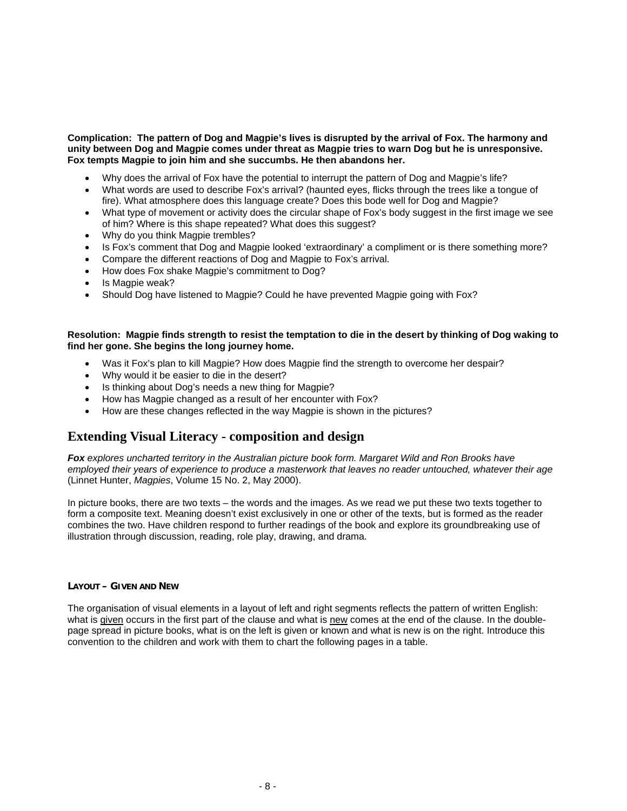#### **Complication: The pattern of Dog and Magpie's lives is disrupted by the arrival of Fox. The harmony and unity between Dog and Magpie comes under threat as Magpie tries to warn Dog but he is unresponsive. Fox tempts Magpie to join him and she succumbs. He then abandons her.**

- Why does the arrival of Fox have the potential to interrupt the pattern of Dog and Magpie's life?
- What words are used to describe Fox's arrival? (haunted eyes, flicks through the trees like a tongue of fire). What atmosphere does this language create? Does this bode well for Dog and Magpie?
- What type of movement or activity does the circular shape of Fox's body suggest in the first image we see of him? Where is this shape repeated? What does this suggest?
- Why do you think Magpie trembles?
- Is Fox's comment that Dog and Magpie looked 'extraordinary' a compliment or is there something more?
- Compare the different reactions of Dog and Magpie to Fox's arrival.
- How does Fox shake Magpie's commitment to Dog?
- Is Magpie weak?
- Should Dog have listened to Magpie? Could he have prevented Magpie going with Fox?

#### **Resolution: Magpie finds strength to resist the temptation to die in the desert by thinking of Dog waking to find her gone. She begins the long journey home.**

- Was it Fox's plan to kill Magpie? How does Magpie find the strength to overcome her despair?
- Why would it be easier to die in the desert?
- Is thinking about Dog's needs a new thing for Magpie?
- How has Magpie changed as a result of her encounter with Fox?
- How are these changes reflected in the way Magpie is shown in the pictures?

### **Extending Visual Literacy - composition and design**

*Fox explores uncharted territory in the Australian picture book form. Margaret Wild and Ron Brooks have employed their years of experience to produce a masterwork that leaves no reader untouched, whatever their age* (Linnet Hunter, *Magpies*, Volume 15 No. 2, May 2000).

In picture books, there are two texts – the words and the images. As we read we put these two texts together to form a composite text. Meaning doesn't exist exclusively in one or other of the texts, but is formed as the reader combines the two. Have children respond to further readings of the book and explore its groundbreaking use of illustration through discussion, reading, role play, drawing, and drama.

#### **LAYOUT – GIVEN AND NEW**

The organisation of visual elements in a layout of left and right segments reflects the pattern of written English: what is given occurs in the first part of the clause and what is new comes at the end of the clause. In the doublepage spread in picture books, what is on the left is given or known and what is new is on the right. Introduce this convention to the children and work with them to chart the following pages in a table.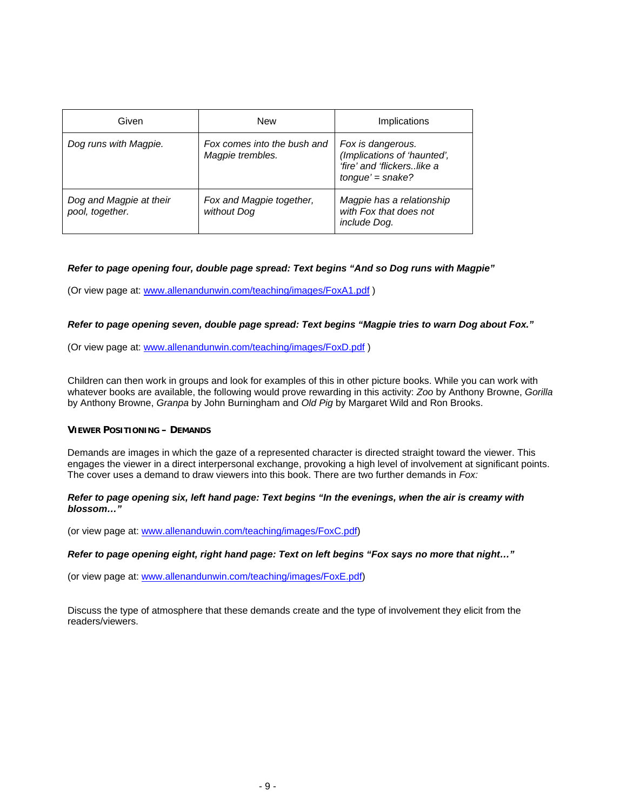| Given                                      | <b>New</b>                                      | Implications                                                                                         |
|--------------------------------------------|-------------------------------------------------|------------------------------------------------------------------------------------------------------|
| Dog runs with Magpie.                      | Fox comes into the bush and<br>Magpie trembles. | Fox is dangerous.<br>(Implications of 'haunted',<br>'fire' and 'flickerslike a<br>$tongue' = snake?$ |
| Dog and Magpie at their<br>pool, together. | Fox and Magpie together,<br>without Dog         | Magpie has a relationship<br>with Fox that does not<br>include Dog.                                  |

#### *Refer to page opening four, double page spread: Text begins "And so Dog runs with Magpie"*

(Or view page at: www.allenandunwin.com/teaching/images/FoxA1.pdf )

#### *Refer to page opening seven, double page spread: Text begins "Magpie tries to warn Dog about Fox."*

(Or view page at: www.allenandunwin.com/teaching/images/FoxD.pdf )

Children can then work in groups and look for examples of this in other picture books. While you can work with whatever books are available, the following would prove rewarding in this activity: *Zoo* by Anthony Browne, *Gorilla* by Anthony Browne, *Granpa* by John Burningham and *Old Pig* by Margaret Wild and Ron Brooks.

#### **VIEWER POSITIONING – DEMANDS**

Demands are images in which the gaze of a represented character is directed straight toward the viewer. This engages the viewer in a direct interpersonal exchange, provoking a high level of involvement at significant points. The cover uses a demand to draw viewers into this book. There are two further demands in *Fox:*

#### *Refer to page opening six, left hand page: Text begins "In the evenings, when the air is creamy with blossom…"*

(or view page at: www.allenanduwin.com/teaching/images/FoxC.pdf)

#### *Refer to page opening eight, right hand page: Text on left begins "Fox says no more that night…"*

(or view page at: www.allenandunwin.com/teaching/images/FoxE.pdf)

Discuss the type of atmosphere that these demands create and the type of involvement they elicit from the readers/viewers.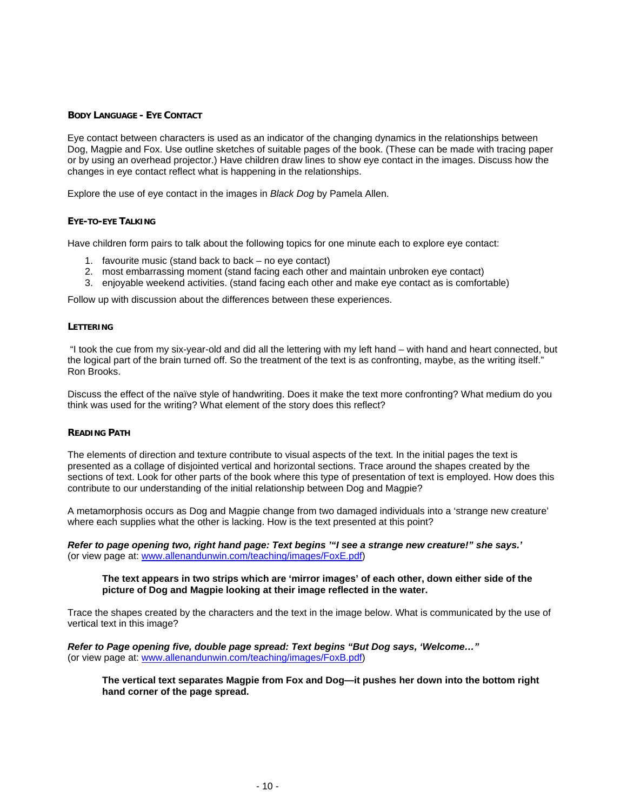#### **BODY LANGUAGE - EYE CONTACT**

Eye contact between characters is used as an indicator of the changing dynamics in the relationships between Dog, Magpie and Fox. Use outline sketches of suitable pages of the book. (These can be made with tracing paper or by using an overhead projector.) Have children draw lines to show eye contact in the images. Discuss how the changes in eye contact reflect what is happening in the relationships.

Explore the use of eye contact in the images in *Black Dog* by Pamela Allen.

#### **EYE-TO-EYE TALKING**

Have children form pairs to talk about the following topics for one minute each to explore eye contact:

- 1. favourite music (stand back to back no eye contact)
- 2. most embarrassing moment (stand facing each other and maintain unbroken eye contact)
- 3. enjoyable weekend activities. (stand facing each other and make eye contact as is comfortable)

Follow up with discussion about the differences between these experiences.

#### **LETTERING**

 "I took the cue from my six-year-old and did all the lettering with my left hand – with hand and heart connected, but the logical part of the brain turned off. So the treatment of the text is as confronting, maybe, as the writing itself." Ron Brooks.

Discuss the effect of the naïve style of handwriting. Does it make the text more confronting? What medium do you think was used for the writing? What element of the story does this reflect?

#### **READING PATH**

The elements of direction and texture contribute to visual aspects of the text. In the initial pages the text is presented as a collage of disjointed vertical and horizontal sections. Trace around the shapes created by the sections of text. Look for other parts of the book where this type of presentation of text is employed. How does this contribute to our understanding of the initial relationship between Dog and Magpie?

A metamorphosis occurs as Dog and Magpie change from two damaged individuals into a 'strange new creature' where each supplies what the other is lacking. How is the text presented at this point?

*Refer to page opening two, right hand page: Text begins '"I see a strange new creature!" she says.'*  (or view page at: www.allenandunwin.com/teaching/images/FoxE.pdf)

#### **The text appears in two strips which are 'mirror images' of each other, down either side of the picture of Dog and Magpie looking at their image reflected in the water.**

Trace the shapes created by the characters and the text in the image below. What is communicated by the use of vertical text in this image?

*Refer to Page opening five, double page spread: Text begins "But Dog says, 'Welcome…"*  (or view page at: www.allenandunwin.com/teaching/images/FoxB.pdf)

#### **The vertical text separates Magpie from Fox and Dog—it pushes her down into the bottom right hand corner of the page spread.**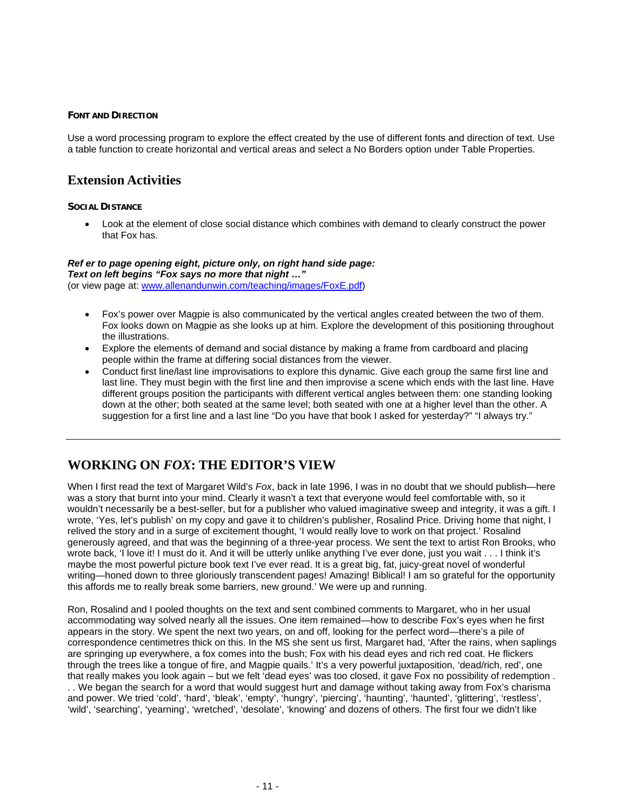#### **FONT AND DIRECTION**

Use a word processing program to explore the effect created by the use of different fonts and direction of text. Use a table function to create horizontal and vertical areas and select a No Borders option under Table Properties.

## **Extension Activities**

#### **SOCIAL DISTANCE**

• Look at the element of close social distance which combines with demand to clearly construct the power that Fox has.

#### *Ref er to page opening eight, picture only, on right hand side page:*

*Text on left begins "Fox says no more that night …"*  (or view page at: www.allenandunwin.com/teaching/images/FoxE.pdf)

- Fox's power over Magpie is also communicated by the vertical angles created between the two of them. Fox looks down on Magpie as she looks up at him. Explore the development of this positioning throughout the illustrations.
- Explore the elements of demand and social distance by making a frame from cardboard and placing people within the frame at differing social distances from the viewer.
- Conduct first line/last line improvisations to explore this dynamic. Give each group the same first line and last line. They must begin with the first line and then improvise a scene which ends with the last line. Have different groups position the participants with different vertical angles between them: one standing looking down at the other; both seated at the same level; both seated with one at a higher level than the other. A suggestion for a first line and a last line "Do you have that book I asked for yesterday?" "I always try."

## **WORKING ON** *FOX***: THE EDITOR'S VIEW**

When I first read the text of Margaret Wild's *Fox*, back in late 1996, I was in no doubt that we should publish—here was a story that burnt into your mind. Clearly it wasn't a text that everyone would feel comfortable with, so it wouldn't necessarily be a best-seller, but for a publisher who valued imaginative sweep and integrity, it was a gift. I wrote, 'Yes, let's publish' on my copy and gave it to children's publisher, Rosalind Price. Driving home that night, I relived the story and in a surge of excitement thought, 'I would really love to work on that project.' Rosalind generously agreed, and that was the beginning of a three-year process. We sent the text to artist Ron Brooks, who wrote back, 'I love it! I must do it. And it will be utterly unlike anything I've ever done, just you wait . . . I think it's maybe the most powerful picture book text I've ever read. It is a great big, fat, juicy-great novel of wonderful writing—honed down to three gloriously transcendent pages! Amazing! Biblical! I am so grateful for the opportunity this affords me to really break some barriers, new ground.' We were up and running.

Ron, Rosalind and I pooled thoughts on the text and sent combined comments to Margaret, who in her usual accommodating way solved nearly all the issues. One item remained—how to describe Fox's eyes when he first appears in the story. We spent the next two years, on and off, looking for the perfect word—there's a pile of correspondence centimetres thick on this. In the MS she sent us first, Margaret had, 'After the rains, when saplings are springing up everywhere, a fox comes into the bush; Fox with his dead eyes and rich red coat. He flickers through the trees like a tongue of fire, and Magpie quails.' It's a very powerful juxtaposition, 'dead/rich, red', one that really makes you look again – but we felt 'dead eyes' was too closed, it gave Fox no possibility of redemption . . . We began the search for a word that would suggest hurt and damage without taking away from Fox's charisma and power. We tried 'cold', 'hard', 'bleak', 'empty', 'hungry', 'piercing', 'haunting', 'haunted', 'glittering', 'restless', 'wild', 'searching', 'yearning', 'wretched', 'desolate', 'knowing' and dozens of others. The first four we didn't like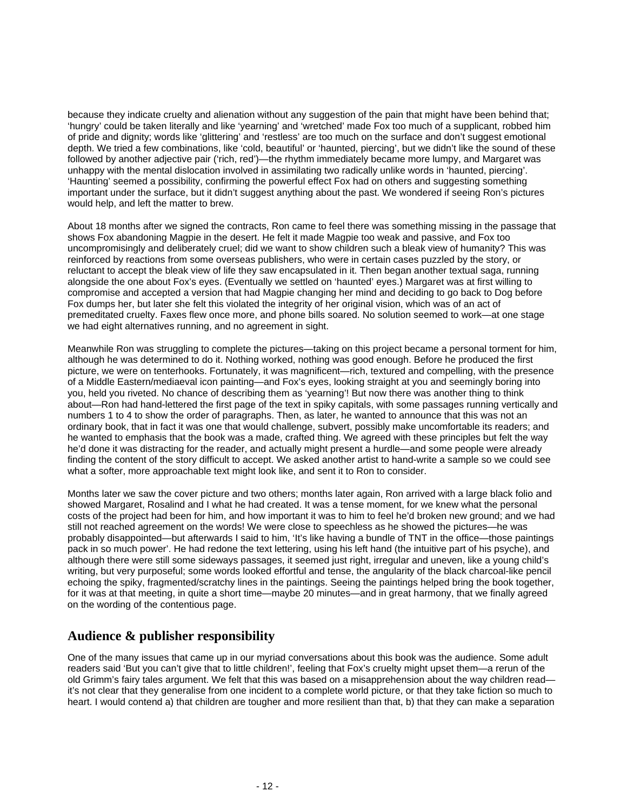because they indicate cruelty and alienation without any suggestion of the pain that might have been behind that; 'hungry' could be taken literally and like 'yearning' and 'wretched' made Fox too much of a supplicant, robbed him of pride and dignity; words like 'glittering' and 'restless' are too much on the surface and don't suggest emotional depth. We tried a few combinations, like 'cold, beautiful' or 'haunted, piercing', but we didn't like the sound of these followed by another adjective pair ('rich, red')—the rhythm immediately became more lumpy, and Margaret was unhappy with the mental dislocation involved in assimilating two radically unlike words in 'haunted, piercing'. 'Haunting' seemed a possibility, confirming the powerful effect Fox had on others and suggesting something important under the surface, but it didn't suggest anything about the past. We wondered if seeing Ron's pictures would help, and left the matter to brew.

About 18 months after we signed the contracts, Ron came to feel there was something missing in the passage that shows Fox abandoning Magpie in the desert. He felt it made Magpie too weak and passive, and Fox too uncompromisingly and deliberately cruel; did we want to show children such a bleak view of humanity? This was reinforced by reactions from some overseas publishers, who were in certain cases puzzled by the story, or reluctant to accept the bleak view of life they saw encapsulated in it. Then began another textual saga, running alongside the one about Fox's eyes. (Eventually we settled on 'haunted' eyes.) Margaret was at first willing to compromise and accepted a version that had Magpie changing her mind and deciding to go back to Dog before Fox dumps her, but later she felt this violated the integrity of her original vision, which was of an act of premeditated cruelty. Faxes flew once more, and phone bills soared. No solution seemed to work—at one stage we had eight alternatives running, and no agreement in sight.

Meanwhile Ron was struggling to complete the pictures—taking on this project became a personal torment for him, although he was determined to do it. Nothing worked, nothing was good enough. Before he produced the first picture, we were on tenterhooks. Fortunately, it was magnificent—rich, textured and compelling, with the presence of a Middle Eastern/mediaeval icon painting—and Fox's eyes, looking straight at you and seemingly boring into you, held you riveted. No chance of describing them as 'yearning'! But now there was another thing to think about—Ron had hand-lettered the first page of the text in spiky capitals, with some passages running vertically and numbers 1 to 4 to show the order of paragraphs. Then, as later, he wanted to announce that this was not an ordinary book, that in fact it was one that would challenge, subvert, possibly make uncomfortable its readers; and he wanted to emphasis that the book was a made, crafted thing. We agreed with these principles but felt the way he'd done it was distracting for the reader, and actually might present a hurdle—and some people were already finding the content of the story difficult to accept. We asked another artist to hand-write a sample so we could see what a softer, more approachable text might look like, and sent it to Ron to consider.

Months later we saw the cover picture and two others; months later again, Ron arrived with a large black folio and showed Margaret, Rosalind and I what he had created. It was a tense moment, for we knew what the personal costs of the project had been for him, and how important it was to him to feel he'd broken new ground; and we had still not reached agreement on the words! We were close to speechless as he showed the pictures—he was probably disappointed—but afterwards I said to him, 'It's like having a bundle of TNT in the office—those paintings pack in so much power'. He had redone the text lettering, using his left hand (the intuitive part of his psyche), and although there were still some sideways passages, it seemed just right, irregular and uneven, like a young child's writing, but very purposeful; some words looked effortful and tense, the angularity of the black charcoal-like pencil echoing the spiky, fragmented/scratchy lines in the paintings. Seeing the paintings helped bring the book together, for it was at that meeting, in quite a short time—maybe 20 minutes—and in great harmony, that we finally agreed on the wording of the contentious page.

## **Audience & publisher responsibility**

One of the many issues that came up in our myriad conversations about this book was the audience. Some adult readers said 'But you can't give that to little children!', feeling that Fox's cruelty might upset them—a rerun of the old Grimm's fairy tales argument. We felt that this was based on a misapprehension about the way children read it's not clear that they generalise from one incident to a complete world picture, or that they take fiction so much to heart. I would contend a) that children are tougher and more resilient than that, b) that they can make a separation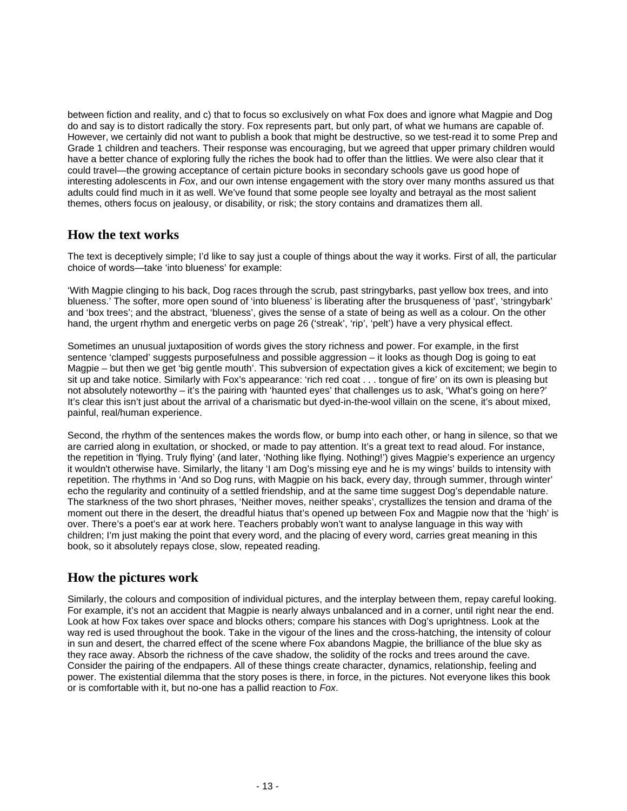between fiction and reality, and c) that to focus so exclusively on what Fox does and ignore what Magpie and Dog do and say is to distort radically the story. Fox represents part, but only part, of what we humans are capable of. However, we certainly did not want to publish a book that might be destructive, so we test-read it to some Prep and Grade 1 children and teachers. Their response was encouraging, but we agreed that upper primary children would have a better chance of exploring fully the riches the book had to offer than the littlies. We were also clear that it could travel—the growing acceptance of certain picture books in secondary schools gave us good hope of interesting adolescents in *Fox*, and our own intense engagement with the story over many months assured us that adults could find much in it as well. We've found that some people see loyalty and betrayal as the most salient themes, others focus on jealousy, or disability, or risk; the story contains and dramatizes them all.

## **How the text works**

The text is deceptively simple; I'd like to say just a couple of things about the way it works. First of all, the particular choice of words—take 'into blueness' for example:

'With Magpie clinging to his back, Dog races through the scrub, past stringybarks, past yellow box trees, and into blueness.' The softer, more open sound of 'into blueness' is liberating after the brusqueness of 'past', 'stringybark' and 'box trees'; and the abstract, 'blueness', gives the sense of a state of being as well as a colour. On the other hand, the urgent rhythm and energetic verbs on page 26 ('streak', 'rip', 'pelt') have a very physical effect.

Sometimes an unusual juxtaposition of words gives the story richness and power. For example, in the first sentence 'clamped' suggests purposefulness and possible aggression – it looks as though Dog is going to eat Magpie – but then we get 'big gentle mouth'. This subversion of expectation gives a kick of excitement; we begin to sit up and take notice. Similarly with Fox's appearance: 'rich red coat . . . tongue of fire' on its own is pleasing but not absolutely noteworthy – it's the pairing with 'haunted eyes' that challenges us to ask, 'What's going on here?' It's clear this isn't just about the arrival of a charismatic but dyed-in-the-wool villain on the scene, it's about mixed, painful, real/human experience.

Second, the rhythm of the sentences makes the words flow, or bump into each other, or hang in silence, so that we are carried along in exultation, or shocked, or made to pay attention. It's a great text to read aloud. For instance, the repetition in 'flying. Truly flying' (and later, 'Nothing like flying. Nothing!') gives Magpie's experience an urgency it wouldn't otherwise have. Similarly, the litany 'I am Dog's missing eye and he is my wings' builds to intensity with repetition. The rhythms in 'And so Dog runs, with Magpie on his back, every day, through summer, through winter' echo the regularity and continuity of a settled friendship, and at the same time suggest Dog's dependable nature. The starkness of the two short phrases, 'Neither moves, neither speaks', crystallizes the tension and drama of the moment out there in the desert, the dreadful hiatus that's opened up between Fox and Magpie now that the 'high' is over. There's a poet's ear at work here. Teachers probably won't want to analyse language in this way with children; I'm just making the point that every word, and the placing of every word, carries great meaning in this book, so it absolutely repays close, slow, repeated reading.

## **How the pictures work**

Similarly, the colours and composition of individual pictures, and the interplay between them, repay careful looking. For example, it's not an accident that Magpie is nearly always unbalanced and in a corner, until right near the end. Look at how Fox takes over space and blocks others; compare his stances with Dog's uprightness. Look at the way red is used throughout the book. Take in the vigour of the lines and the cross-hatching, the intensity of colour in sun and desert, the charred effect of the scene where Fox abandons Magpie, the brilliance of the blue sky as they race away. Absorb the richness of the cave shadow, the solidity of the rocks and trees around the cave. Consider the pairing of the endpapers. All of these things create character, dynamics, relationship, feeling and power. The existential dilemma that the story poses is there, in force, in the pictures. Not everyone likes this book or is comfortable with it, but no-one has a pallid reaction to *Fox*.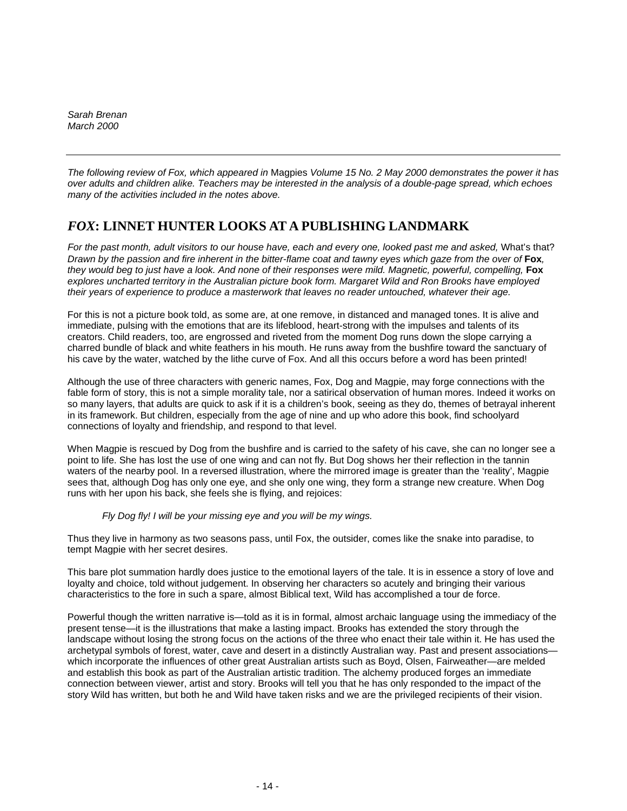*Sarah Brenan March 2000* 

*The following review of Fox, which appeared in* Magpies *Volume 15 No. 2 May 2000 demonstrates the power it has over adults and children alike. Teachers may be interested in the analysis of a double-page spread, which echoes many of the activities included in the notes above.* 

## *FOX***: LINNET HUNTER LOOKS AT A PUBLISHING LANDMARK**

*For the past month, adult visitors to our house have, each and every one, looked past me and asked,* What's that? *Drawn by the passion and fire inherent in the bitter-flame coat and tawny eyes which gaze from the over of* **Fox**, *they would beg to just have a look. And none of their responses were mild. Magnetic, powerful, compelling, Fox explores uncharted territory in the Australian picture book form. Margaret Wild and Ron Brooks have employed their years of experience to produce a masterwork that leaves no reader untouched, whatever their age.*

For this is not a picture book told, as some are, at one remove, in distanced and managed tones. It is alive and immediate, pulsing with the emotions that are its lifeblood, heart-strong with the impulses and talents of its creators. Child readers, too, are engrossed and riveted from the moment Dog runs down the slope carrying a charred bundle of black and white feathers in his mouth. He runs away from the bushfire toward the sanctuary of his cave by the water, watched by the lithe curve of Fox. And all this occurs before a word has been printed!

Although the use of three characters with generic names, Fox, Dog and Magpie, may forge connections with the fable form of story, this is not a simple morality tale, nor a satirical observation of human mores. Indeed it works on so many layers, that adults are quick to ask if it is a children's book, seeing as they do, themes of betrayal inherent in its framework. But children, especially from the age of nine and up who adore this book, find schoolyard connections of loyalty and friendship, and respond to that level.

When Magpie is rescued by Dog from the bushfire and is carried to the safety of his cave, she can no longer see a point to life. She has lost the use of one wing and can not fly. But Dog shows her their reflection in the tannin waters of the nearby pool. In a reversed illustration, where the mirrored image is greater than the 'reality', Magpie sees that, although Dog has only one eye, and she only one wing, they form a strange new creature. When Dog runs with her upon his back, she feels she is flying, and rejoices:

#### *Fly Dog fly! I will be your missing eye and you will be my wings.*

Thus they live in harmony as two seasons pass, until Fox, the outsider, comes like the snake into paradise, to tempt Magpie with her secret desires.

This bare plot summation hardly does justice to the emotional layers of the tale. It is in essence a story of love and loyalty and choice, told without judgement. In observing her characters so acutely and bringing their various characteristics to the fore in such a spare, almost Biblical text, Wild has accomplished a tour de force.

Powerful though the written narrative is—told as it is in formal, almost archaic language using the immediacy of the present tense—it is the illustrations that make a lasting impact. Brooks has extended the story through the landscape without losing the strong focus on the actions of the three who enact their tale within it. He has used the archetypal symbols of forest, water, cave and desert in a distinctly Australian way. Past and present associations which incorporate the influences of other great Australian artists such as Boyd, Olsen, Fairweather—are melded and establish this book as part of the Australian artistic tradition. The alchemy produced forges an immediate connection between viewer, artist and story. Brooks will tell you that he has only responded to the impact of the story Wild has written, but both he and Wild have taken risks and we are the privileged recipients of their vision.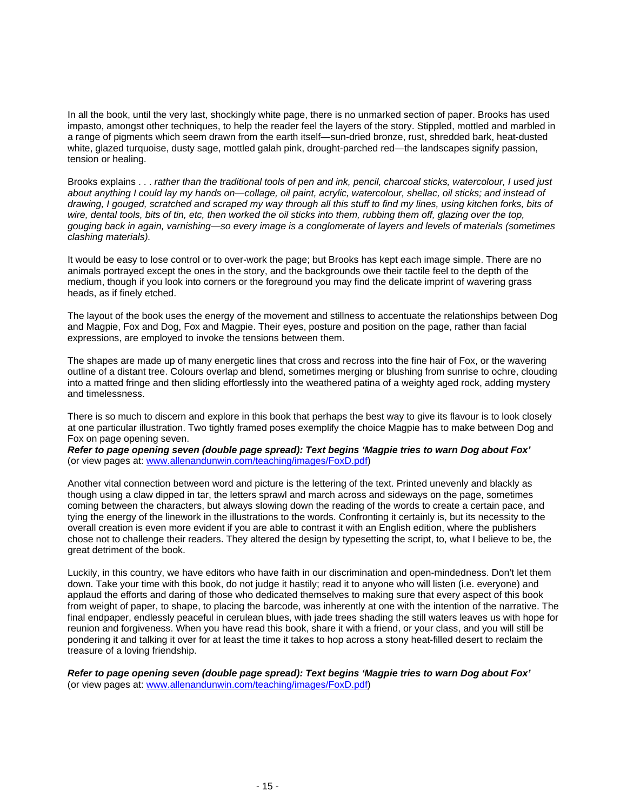In all the book, until the very last, shockingly white page, there is no unmarked section of paper. Brooks has used impasto, amongst other techniques, to help the reader feel the layers of the story. Stippled, mottled and marbled in a range of pigments which seem drawn from the earth itself—sun-dried bronze, rust, shredded bark, heat-dusted white, glazed turquoise, dusty sage, mottled galah pink, drought-parched red—the landscapes signify passion, tension or healing.

Brooks explains . . . *rather than the traditional tools of pen and ink, pencil, charcoal sticks, watercolour, I used just about anything I could lay my hands on—collage, oil paint, acrylic, watercolour, shellac, oil sticks; and instead of drawing, I gouged, scratched and scraped my way through all this stuff to find my lines, using kitchen forks, bits of wire, dental tools, bits of tin, etc, then worked the oil sticks into them, rubbing them off, glazing over the top, gouging back in again, varnishing—so every image is a conglomerate of layers and levels of materials (sometimes clashing materials).*

It would be easy to lose control or to over-work the page; but Brooks has kept each image simple. There are no animals portrayed except the ones in the story, and the backgrounds owe their tactile feel to the depth of the medium, though if you look into corners or the foreground you may find the delicate imprint of wavering grass heads, as if finely etched.

The layout of the book uses the energy of the movement and stillness to accentuate the relationships between Dog and Magpie, Fox and Dog, Fox and Magpie. Their eyes, posture and position on the page, rather than facial expressions, are employed to invoke the tensions between them.

The shapes are made up of many energetic lines that cross and recross into the fine hair of Fox, or the wavering outline of a distant tree. Colours overlap and blend, sometimes merging or blushing from sunrise to ochre, clouding into a matted fringe and then sliding effortlessly into the weathered patina of a weighty aged rock, adding mystery and timelessness.

There is so much to discern and explore in this book that perhaps the best way to give its flavour is to look closely at one particular illustration. Two tightly framed poses exemplify the choice Magpie has to make between Dog and Fox on page opening seven.

*Refer to page opening seven (double page spread): Text begins 'Magpie tries to warn Dog about Fox'*  (or view pages at: www.allenandunwin.com/teaching/images/FoxD.pdf)

Another vital connection between word and picture is the lettering of the text. Printed unevenly and blackly as though using a claw dipped in tar, the letters sprawl and march across and sideways on the page, sometimes coming between the characters, but always slowing down the reading of the words to create a certain pace, and tying the energy of the linework in the illustrations to the words. Confronting it certainly is, but its necessity to the overall creation is even more evident if you are able to contrast it with an English edition, where the publishers chose not to challenge their readers. They altered the design by typesetting the script, to, what I believe to be, the great detriment of the book.

Luckily, in this country, we have editors who have faith in our discrimination and open-mindedness. Don't let them down. Take your time with this book, do not judge it hastily; read it to anyone who will listen (i.e. everyone) and applaud the efforts and daring of those who dedicated themselves to making sure that every aspect of this book from weight of paper, to shape, to placing the barcode, was inherently at one with the intention of the narrative. The final endpaper, endlessly peaceful in cerulean blues, with jade trees shading the still waters leaves us with hope for reunion and forgiveness. When you have read this book, share it with a friend, or your class, and you will still be pondering it and talking it over for at least the time it takes to hop across a stony heat-filled desert to reclaim the treasure of a loving friendship.

*Refer to page opening seven (double page spread): Text begins 'Magpie tries to warn Dog about Fox'*  (or view pages at: www.allenandunwin.com/teaching/images/FoxD.pdf)